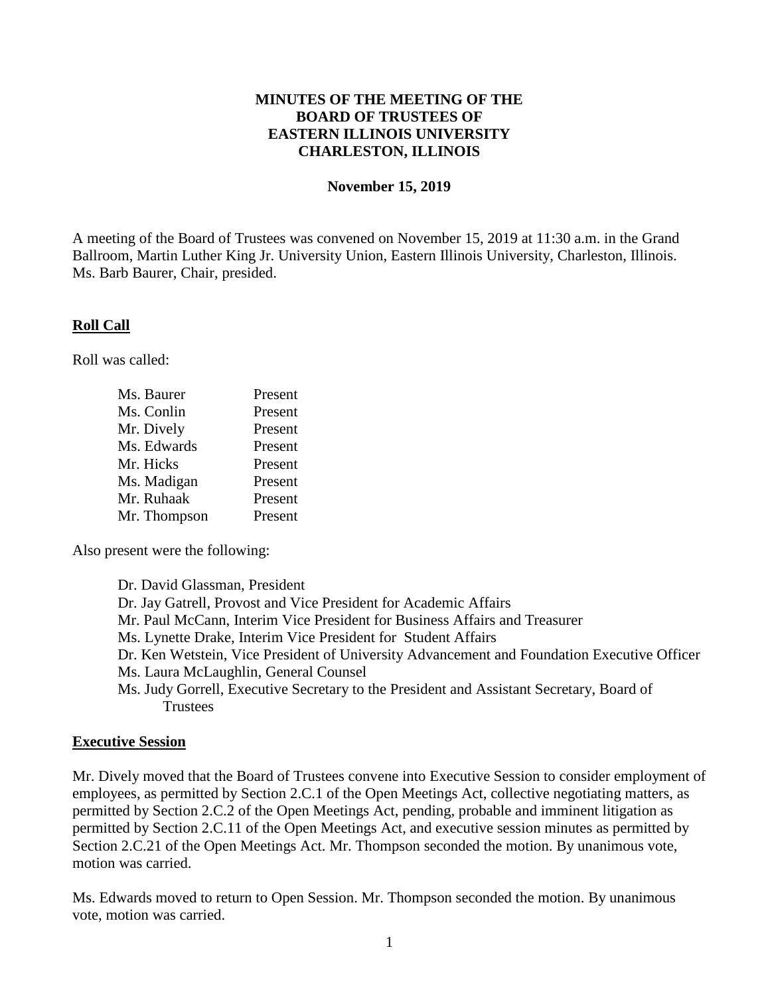### **MINUTES OF THE MEETING OF THE BOARD OF TRUSTEES OF EASTERN ILLINOIS UNIVERSITY CHARLESTON, ILLINOIS**

#### **November 15, 2019**

A meeting of the Board of Trustees was convened on November 15, 2019 at 11:30 a.m. in the Grand Ballroom, Martin Luther King Jr. University Union, Eastern Illinois University, Charleston, Illinois. Ms. Barb Baurer, Chair, presided.

#### **Roll Call**

Roll was called:

| Ms. Baurer   | Present |
|--------------|---------|
| Ms. Conlin   | Present |
| Mr. Dively   | Present |
| Ms. Edwards  | Present |
| Mr. Hicks    | Present |
| Ms. Madigan  | Present |
| Mr. Ruhaak   | Present |
| Mr. Thompson | Present |
|              |         |

Also present were the following:

Dr. David Glassman, President Dr. Jay Gatrell, Provost and Vice President for Academic Affairs Mr. Paul McCann, Interim Vice President for Business Affairs and Treasurer Ms. Lynette Drake, Interim Vice President for Student Affairs Dr. Ken Wetstein, Vice President of University Advancement and Foundation Executive Officer Ms. Laura McLaughlin, General Counsel Ms. Judy Gorrell, Executive Secretary to the President and Assistant Secretary, Board of **Trustees** 

#### **Executive Session**

Mr. Dively moved that the Board of Trustees convene into Executive Session to consider employment of employees, as permitted by Section 2.C.1 of the Open Meetings Act, collective negotiating matters, as permitted by Section 2.C.2 of the Open Meetings Act, pending, probable and imminent litigation as permitted by Section 2.C.11 of the Open Meetings Act, and executive session minutes as permitted by Section 2.C.21 of the Open Meetings Act. Mr. Thompson seconded the motion. By unanimous vote, motion was carried.

Ms. Edwards moved to return to Open Session. Mr. Thompson seconded the motion. By unanimous vote, motion was carried.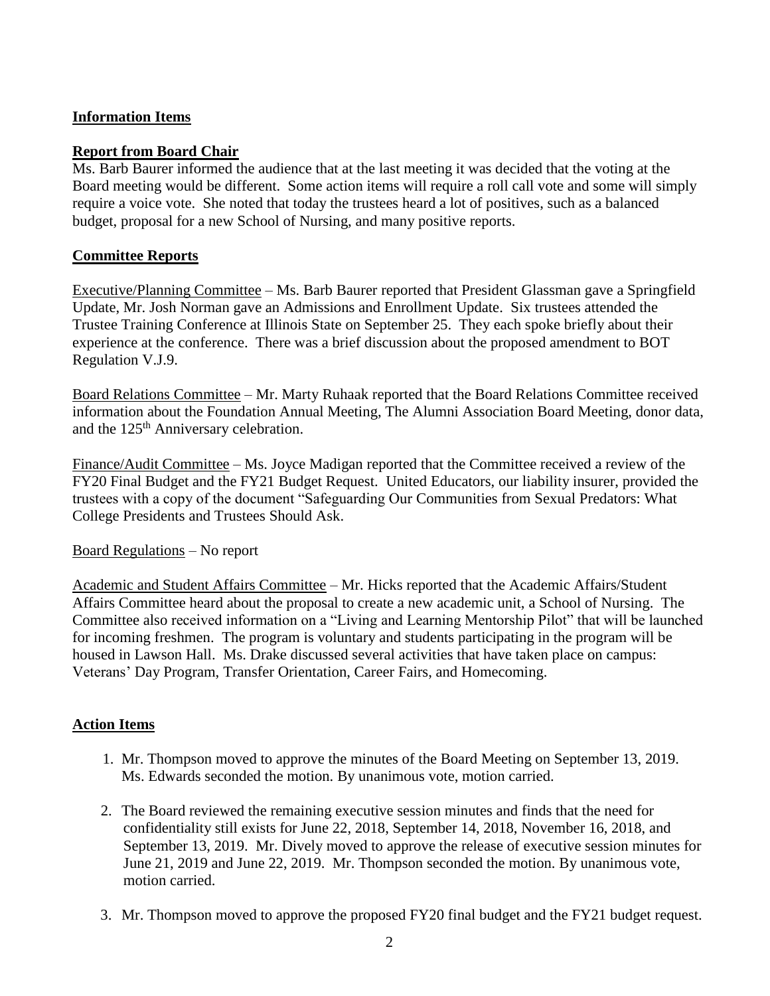### **Information Items**

### **Report from Board Chair**

Ms. Barb Baurer informed the audience that at the last meeting it was decided that the voting at the Board meeting would be different. Some action items will require a roll call vote and some will simply require a voice vote. She noted that today the trustees heard a lot of positives, such as a balanced budget, proposal for a new School of Nursing, and many positive reports.

### **Committee Reports**

Executive/Planning Committee – Ms. Barb Baurer reported that President Glassman gave a Springfield Update, Mr. Josh Norman gave an Admissions and Enrollment Update. Six trustees attended the Trustee Training Conference at Illinois State on September 25. They each spoke briefly about their experience at the conference. There was a brief discussion about the proposed amendment to BOT Regulation V.J.9.

Board Relations Committee – Mr. Marty Ruhaak reported that the Board Relations Committee received information about the Foundation Annual Meeting, The Alumni Association Board Meeting, donor data, and the 125<sup>th</sup> Anniversary celebration.

Finance/Audit Committee – Ms. Joyce Madigan reported that the Committee received a review of the FY20 Final Budget and the FY21 Budget Request. United Educators, our liability insurer, provided the trustees with a copy of the document "Safeguarding Our Communities from Sexual Predators: What College Presidents and Trustees Should Ask.

#### Board Regulations – No report

Academic and Student Affairs Committee – Mr. Hicks reported that the Academic Affairs/Student Affairs Committee heard about the proposal to create a new academic unit, a School of Nursing. The Committee also received information on a "Living and Learning Mentorship Pilot" that will be launched for incoming freshmen. The program is voluntary and students participating in the program will be housed in Lawson Hall. Ms. Drake discussed several activities that have taken place on campus: Veterans' Day Program, Transfer Orientation, Career Fairs, and Homecoming.

## **Action Items**

- 1. Mr. Thompson moved to approve the minutes of the Board Meeting on September 13, 2019. Ms. Edwards seconded the motion. By unanimous vote, motion carried.
- 2. The Board reviewed the remaining executive session minutes and finds that the need for confidentiality still exists for June 22, 2018, September 14, 2018, November 16, 2018, and September 13, 2019. Mr. Dively moved to approve the release of executive session minutes for June 21, 2019 and June 22, 2019. Mr. Thompson seconded the motion. By unanimous vote, motion carried.
- 3. Mr. Thompson moved to approve the proposed FY20 final budget and the FY21 budget request.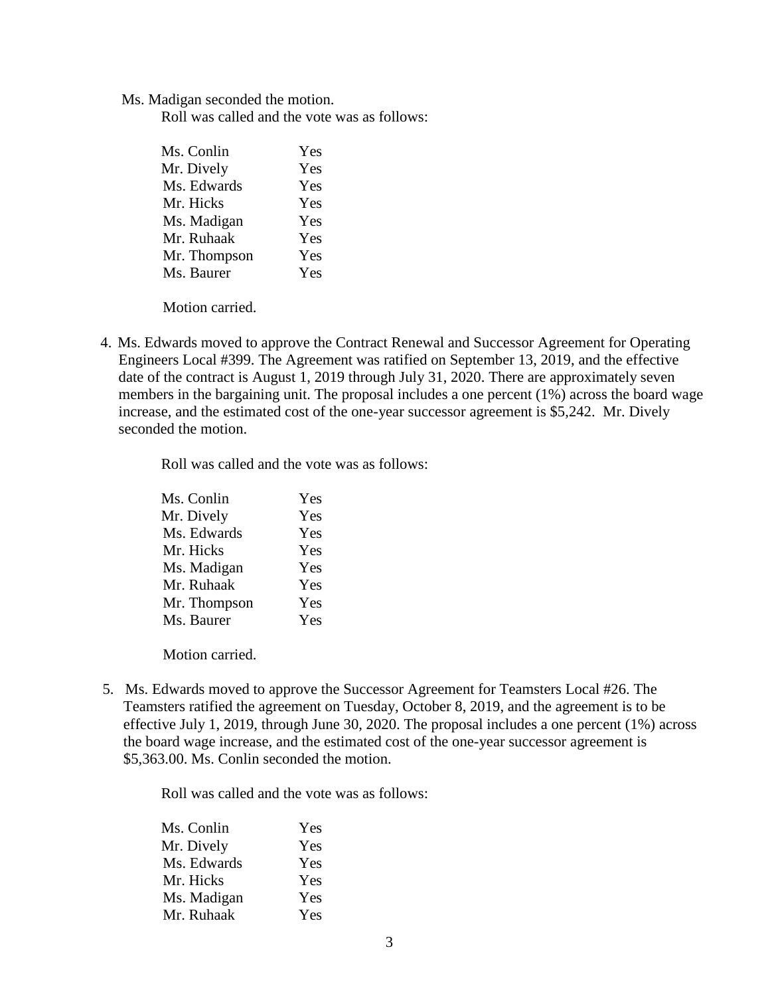Ms. Madigan seconded the motion.

Roll was called and the vote was as follows:

| Yes |
|-----|
| Yes |
| Yes |
| Yes |
| Yes |
| Yes |
| Yes |
| Yes |
|     |

Motion carried.

4. Ms. Edwards moved to approve the Contract Renewal and Successor Agreement for Operating Engineers Local #399. The Agreement was ratified on September 13, 2019, and the effective date of the contract is August 1, 2019 through July 31, 2020. There are approximately seven members in the bargaining unit. The proposal includes a one percent (1%) across the board wage increase, and the estimated cost of the one-year successor agreement is \$5,242. Mr. Dively seconded the motion.

Roll was called and the vote was as follows:

| Ms. Conlin   | Yes |
|--------------|-----|
| Mr. Dively   | Yes |
| Ms. Edwards  | Yes |
| Mr. Hicks    | Yes |
| Ms. Madigan  | Yes |
| Mr. Ruhaak   | Yes |
| Mr. Thompson | Yes |
| Ms. Baurer   | Yes |
|              |     |

Motion carried.

5. Ms. Edwards moved to approve the Successor Agreement for Teamsters Local #26. The Teamsters ratified the agreement on Tuesday, October 8, 2019, and the agreement is to be effective July 1, 2019, through June 30, 2020. The proposal includes a one percent (1%) across the board wage increase, and the estimated cost of the one-year successor agreement is \$5,363.00. Ms. Conlin seconded the motion.

Roll was called and the vote was as follows:

| Ms. Conlin  | Yes |
|-------------|-----|
| Mr. Dively  | Yes |
| Ms. Edwards | Yes |
| Mr. Hicks   | Yes |
| Ms. Madigan | Yes |
| Mr. Ruhaak  | Yes |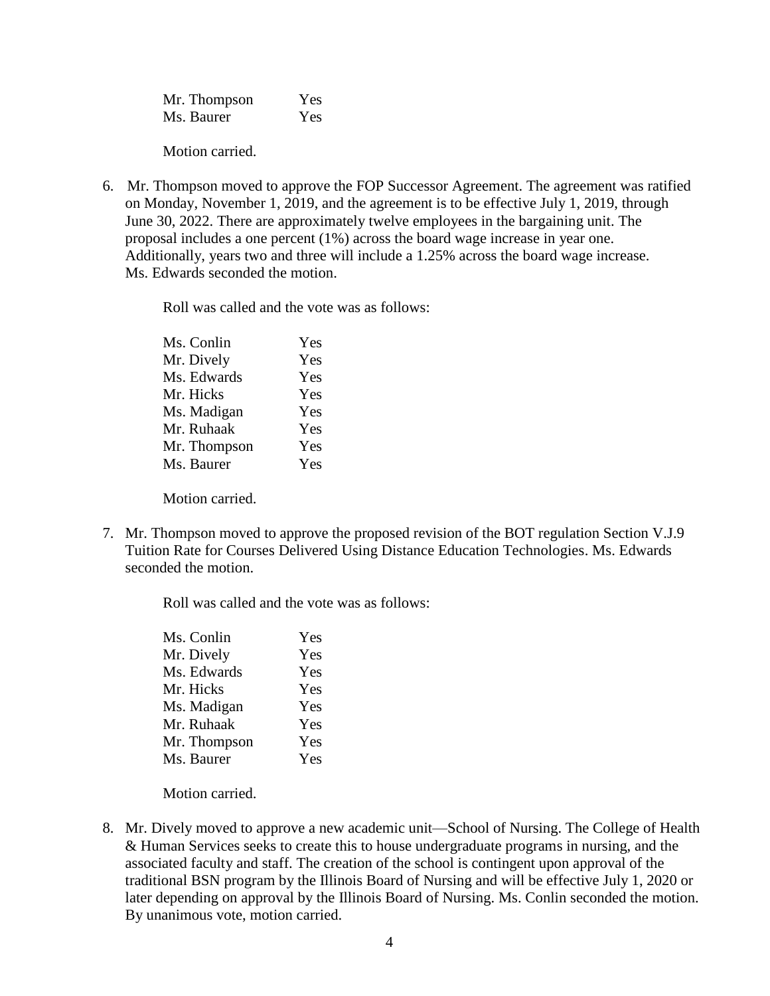| Mr. Thompson | Yes |
|--------------|-----|
| Ms. Baurer   | Yes |

Motion carried.

6. Mr. Thompson moved to approve the FOP Successor Agreement. The agreement was ratified on Monday, November 1, 2019, and the agreement is to be effective July 1, 2019, through June 30, 2022. There are approximately twelve employees in the bargaining unit. The proposal includes a one percent (1%) across the board wage increase in year one. Additionally, years two and three will include a 1.25% across the board wage increase. Ms. Edwards seconded the motion.

Roll was called and the vote was as follows:

| Ms. Conlin   | Yes |
|--------------|-----|
| Mr. Dively   | Yes |
| Ms. Edwards  | Yes |
| Mr. Hicks    | Yes |
| Ms. Madigan  | Yes |
| Mr. Ruhaak   | Yes |
| Mr. Thompson | Yes |
| Ms. Baurer   | Yes |
|              |     |

Motion carried.

7. Mr. Thompson moved to approve the proposed revision of the BOT regulation Section V.J.9 Tuition Rate for Courses Delivered Using Distance Education Technologies. Ms. Edwards seconded the motion.

Roll was called and the vote was as follows:

| Ms. Conlin   | Yes |
|--------------|-----|
| Mr. Dively   | Yes |
| Ms. Edwards  | Yes |
| Mr. Hicks    | Yes |
| Ms. Madigan  | Yes |
| Mr. Ruhaak   | Yes |
| Mr. Thompson | Yes |
| Ms. Baurer   | Yes |
|              |     |

Motion carried.

8. Mr. Dively moved to approve a new academic unit—School of Nursing. The College of Health & Human Services seeks to create this to house undergraduate programs in nursing, and the associated faculty and staff. The creation of the school is contingent upon approval of the traditional BSN program by the Illinois Board of Nursing and will be effective July 1, 2020 or later depending on approval by the Illinois Board of Nursing. Ms. Conlin seconded the motion. By unanimous vote, motion carried.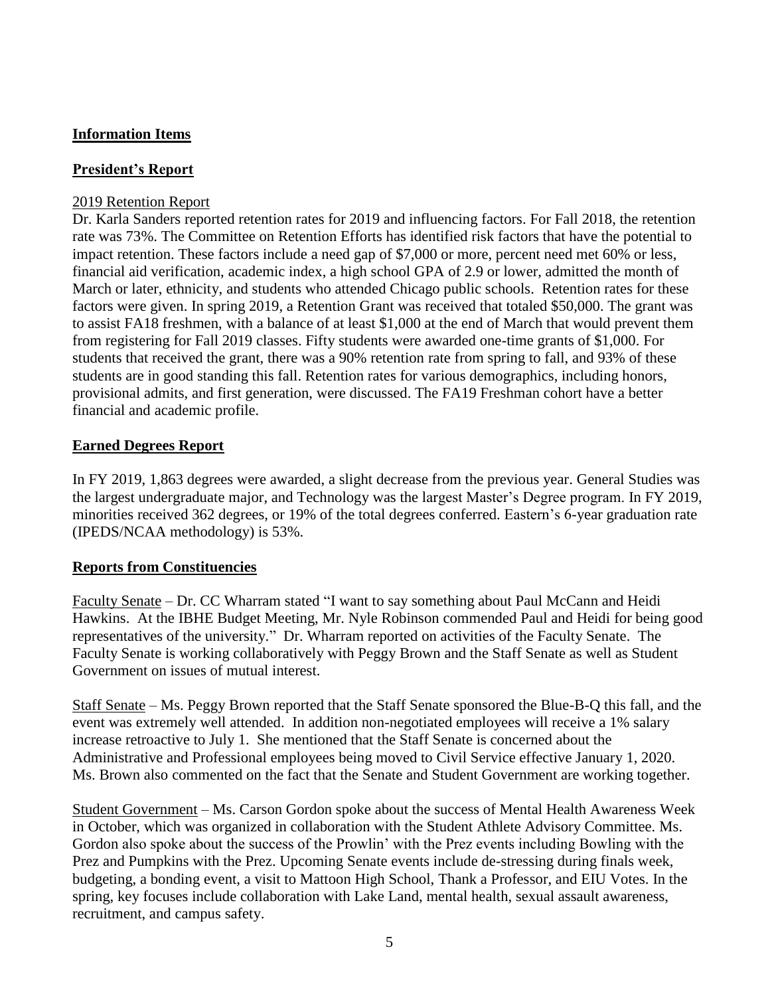# **Information Items**

# **President's Report**

### 2019 Retention Report

Dr. Karla Sanders reported retention rates for 2019 and influencing factors. For Fall 2018, the retention rate was 73%. The Committee on Retention Efforts has identified risk factors that have the potential to impact retention. These factors include a need gap of \$7,000 or more, percent need met 60% or less, financial aid verification, academic index, a high school GPA of 2.9 or lower, admitted the month of March or later, ethnicity, and students who attended Chicago public schools. Retention rates for these factors were given. In spring 2019, a Retention Grant was received that totaled \$50,000. The grant was to assist FA18 freshmen, with a balance of at least \$1,000 at the end of March that would prevent them from registering for Fall 2019 classes. Fifty students were awarded one-time grants of \$1,000. For students that received the grant, there was a 90% retention rate from spring to fall, and 93% of these students are in good standing this fall. Retention rates for various demographics, including honors, provisional admits, and first generation, were discussed. The FA19 Freshman cohort have a better financial and academic profile.

## **Earned Degrees Report**

In FY 2019, 1,863 degrees were awarded, a slight decrease from the previous year. General Studies was the largest undergraduate major, and Technology was the largest Master's Degree program. In FY 2019, minorities received 362 degrees, or 19% of the total degrees conferred. Eastern's 6-year graduation rate (IPEDS/NCAA methodology) is 53%.

## **Reports from Constituencies**

Faculty Senate – Dr. CC Wharram stated "I want to say something about Paul McCann and Heidi Hawkins. At the IBHE Budget Meeting, Mr. Nyle Robinson commended Paul and Heidi for being good representatives of the university." Dr. Wharram reported on activities of the Faculty Senate. The Faculty Senate is working collaboratively with Peggy Brown and the Staff Senate as well as Student Government on issues of mutual interest.

Staff Senate – Ms. Peggy Brown reported that the Staff Senate sponsored the Blue-B-Q this fall, and the event was extremely well attended. In addition non-negotiated employees will receive a 1% salary increase retroactive to July 1. She mentioned that the Staff Senate is concerned about the Administrative and Professional employees being moved to Civil Service effective January 1, 2020. Ms. Brown also commented on the fact that the Senate and Student Government are working together.

Student Government – Ms. Carson Gordon spoke about the success of Mental Health Awareness Week in October, which was organized in collaboration with the Student Athlete Advisory Committee. Ms. Gordon also spoke about the success of the Prowlin' with the Prez events including Bowling with the Prez and Pumpkins with the Prez. Upcoming Senate events include de-stressing during finals week, budgeting, a bonding event, a visit to Mattoon High School, Thank a Professor, and EIU Votes. In the spring, key focuses include collaboration with Lake Land, mental health, sexual assault awareness, recruitment, and campus safety.